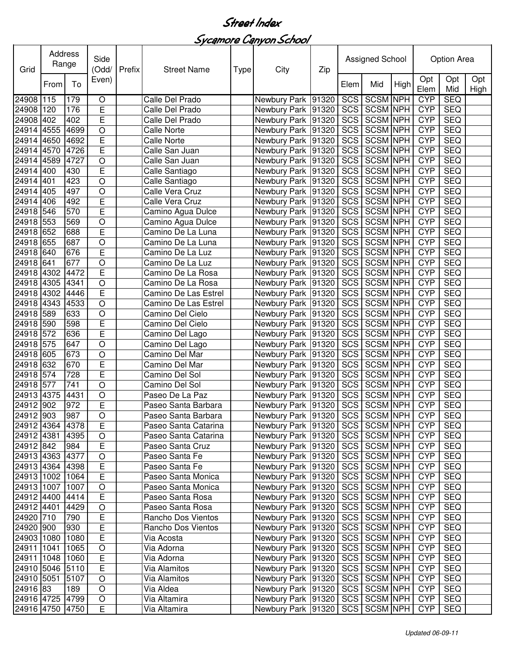## Sycamore Canyon School

| Grid            |      | Address<br>Side<br>Range<br>(Odd/ |                | Prefix | <b>Street Name</b>   | Type | City                                  | Zip   | Assigned School |                 |      | Option Area |            |             |
|-----------------|------|-----------------------------------|----------------|--------|----------------------|------|---------------------------------------|-------|-----------------|-----------------|------|-------------|------------|-------------|
|                 | From | To                                | Even)          |        |                      |      |                                       |       | Elem            | Mid             | High | Opt<br>Elem | Opt<br>Mid | Opt<br>High |
| 24908 115       |      | 179                               | O              |        | Calle Del Prado      |      | Newbury Park 91320                    |       | SCS             | <b>SCSM NPH</b> |      | <b>CYP</b>  | <b>SEQ</b> |             |
| 24908 120       |      | 176                               | E              |        | Calle Del Prado      |      | Newbury Park 91320                    |       | SCS             | <b>SCSM NPH</b> |      | <b>CYP</b>  | <b>SEQ</b> |             |
| 24908           | 402  | 402                               | E              |        | Calle Del Prado      |      | Newbury Park                          | 91320 | SCS             | <b>SCSM NPH</b> |      | <b>CYP</b>  | <b>SEQ</b> |             |
| 24914           | 4555 | 4699                              | $\circ$        |        | Calle Norte          |      | Newbury Park 91320                    |       | SCS             | <b>SCSM NPH</b> |      | <b>CYP</b>  | <b>SEQ</b> |             |
| 24914           | 4650 | 4692                              | E              |        | <b>Calle Norte</b>   |      | Newbury Park                          | 91320 | SCS             | <b>SCSM NPH</b> |      | <b>CYP</b>  | <b>SEQ</b> |             |
| 24914           | 4570 | 4726                              | E              |        | Calle San Juan       |      | Newbury Park 91320                    |       | SCS             | <b>SCSM NPH</b> |      | <b>CYP</b>  | <b>SEQ</b> |             |
| 24914 4589      |      | 4727                              | $\circ$        |        | Calle San Juan       |      | Newbury Park 91320                    |       | SCS             | <b>SCSM NPH</b> |      | <b>CYP</b>  | <b>SEQ</b> |             |
| 24914           | 400  | 430                               | E              |        | Calle Santiago       |      | Newbury Park 91320                    |       | SCS             | <b>SCSM NPH</b> |      | <b>CYP</b>  | <b>SEQ</b> |             |
| 24914 401       |      | 423                               | O              |        | Calle Santiago       |      | Newbury Park 91320                    |       | SCS             | <b>SCSM NPH</b> |      | <b>CYP</b>  | <b>SEQ</b> |             |
| 24914 405       |      | 497                               | $\circ$        |        | Calle Vera Cruz      |      | Newbury Park 91320                    |       | SCS             | <b>SCSM NPH</b> |      | <b>CYP</b>  | <b>SEQ</b> |             |
| 24914 406       |      | 492                               | E              |        | Calle Vera Cruz      |      | Newbury Park 91320                    |       | SCS             | <b>SCSM NPH</b> |      | <b>CYP</b>  | <b>SEQ</b> |             |
| 24918 546       |      | 570                               | E              |        | Camino Agua Dulce    |      | Newbury Park 91320                    |       | SCS             | <b>SCSM</b> NPH |      | <b>CYP</b>  | <b>SEQ</b> |             |
| 24918 553       |      | 569                               | O              |        | Camino Agua Dulce    |      | Newbury Park 91320                    |       | SCS             | <b>SCSM NPH</b> |      | <b>CYP</b>  | <b>SEQ</b> |             |
| 24918 652       |      | 688                               | E              |        | Camino De La Luna    |      | Newbury Park 91320                    |       | SCS             | <b>SCSM NPH</b> |      | <b>CYP</b>  | <b>SEQ</b> |             |
| 24918 655       |      | 687                               | O              |        | Camino De La Luna    |      | Newbury Park 91320                    |       | <b>SCS</b>      | <b>SCSM NPH</b> |      | <b>CYP</b>  | <b>SEQ</b> |             |
| 24918 640       |      | 676                               | E              |        | Camino De La Luz     |      | Newbury Park 91320                    |       | SCS             | <b>SCSM NPH</b> |      | <b>CYP</b>  | <b>SEQ</b> |             |
| 24918 641       |      | 677                               | $\circ$        |        | Camino De La Luz     |      | Newbury Park 91320                    |       | SCS             | <b>SCSM NPH</b> |      | <b>CYP</b>  | <b>SEQ</b> |             |
| 24918 4302      |      | 4472                              | E              |        | Camino De La Rosa    |      | Newbury Park 91320                    |       | SCS             | <b>SCSM NPH</b> |      | <b>CYP</b>  | <b>SEQ</b> |             |
| 24918 4305      |      | 4341                              | $\circ$        |        | Camino De La Rosa    |      | Newbury Park 91320                    |       | SCS             | <b>SCSM NPH</b> |      | <b>CYP</b>  | <b>SEQ</b> |             |
| 24918 4302      |      | 4446                              | E              |        | Camino De Las Estrel |      | Newbury Park 91320                    |       | SCS             | <b>SCSM NPH</b> |      | <b>CYP</b>  | <b>SEQ</b> |             |
| 24918 4343      |      | 4533                              | $\circ$        |        | Camino De Las Estrel |      | Newbury Park 91320                    |       | SCS             | <b>SCSM NPH</b> |      | <b>CYP</b>  | <b>SEQ</b> |             |
| 24918 589       |      | 633                               | $\circ$        |        | Camino Del Cielo     |      | Newbury Park 91320                    |       | SCS             | <b>SCSM NPH</b> |      | <b>CYP</b>  | <b>SEQ</b> |             |
| 24918 590       |      | 598                               | E              |        | Camino Del Cielo     |      | Newbury Park 91320                    |       | SCS             | <b>SCSM NPH</b> |      | <b>CYP</b>  | <b>SEQ</b> |             |
| 24918 572       |      | 636                               | E              |        | Camino Del Lago      |      | Newbury Park 91320                    |       | SCS             | <b>SCSM NPH</b> |      | <b>CYP</b>  | <b>SEQ</b> |             |
| 24918 575       |      | 647                               | O              |        | Camino Del Lago      |      | Newbury Park                          | 91320 | SCS             | <b>SCSM NPH</b> |      | <b>CYP</b>  | <b>SEQ</b> |             |
| 24918 605       |      | 673                               | O              |        | Camino Del Mar       |      | Newbury Park 91320                    |       | SCS             | <b>SCSM NPH</b> |      | <b>CYP</b>  | <b>SEQ</b> |             |
| 24918 632       |      | 670                               | E              |        | Camino Del Mar       |      | Newbury Park 91320                    |       | SCS             | <b>SCSM NPH</b> |      | <b>CYP</b>  | <b>SEQ</b> |             |
| 24918 574       |      | 728                               | E              |        | Camino Del Sol       |      | Newbury Park 91320                    |       | SCS             | <b>SCSM NPH</b> |      | <b>CYP</b>  | <b>SEQ</b> |             |
| 24918 577       |      | 741                               | $\circ$        |        | Camino Del Sol       |      | Newbury Park 91320                    |       | <b>SCS</b>      | <b>SCSM NPH</b> |      | <b>CYP</b>  | <b>SEQ</b> |             |
| 24913 4375      |      | 4431                              | $\circ$        |        | Paseo De La Paz      |      | Newbury Park 91320                    |       | SCS             | <b>SCSM NPH</b> |      | <b>CYP</b>  | <b>SEQ</b> |             |
| 24912 902       |      | 972                               | E              |        | Paseo Santa Barbara  |      | Newbury Park 91320                    |       | SCS             | <b>SCSM NPH</b> |      | <b>CYP</b>  | <b>SEQ</b> |             |
| 24912 903       |      | 987                               | $\overline{O}$ |        | Paseo Santa Barbara  |      | Newbury Park 91320                    |       |                 | SCS SCSM NPH    |      | <b>CYP</b>  | <b>SEQ</b> |             |
| 24912 4364 4378 |      |                                   | E              |        | Paseo Santa Catarina |      | Newbury Park   91320   SCS   SCSM NPH |       |                 |                 |      | <b>CYP</b>  | SEQ        |             |
| 24912 4381      |      | 4395                              | $\bigcirc$     |        | Paseo Santa Catarina |      | Newbury Park 91320                    |       |                 | SCS SCSM NPH    |      | <b>CYP</b>  | SEQ        |             |
| 24912 842       |      | 984                               | E              |        | Paseo Santa Cruz     |      | Newbury Park 91320                    |       |                 | SCS SCSM NPH    |      | <b>CYP</b>  | <b>SEQ</b> |             |
| 24913 4363 4377 |      |                                   | $\bigcirc$     |        | Paseo Santa Fe       |      | Newbury Park   91320                  |       |                 | SCS SCSM NPH    |      | <b>CYP</b>  | <b>SEQ</b> |             |
| 24913 4364 4398 |      |                                   | E              |        | Paseo Santa Fe       |      | Newbury Park 91320                    |       |                 | SCS SCSM NPH    |      | <b>CYP</b>  | <b>SEQ</b> |             |
| 24913 1002      |      | 1064                              | E              |        | Paseo Santa Monica   |      | Newbury Park 91320                    |       | SCS             | <b>SCSM NPH</b> |      | <b>CYP</b>  | <b>SEQ</b> |             |
| 24913 1007      |      | 1007                              | $\mathsf O$    |        | Paseo Santa Monica   |      | Newbury Park 91320                    |       |                 | SCS SCSM NPH    |      | <b>CYP</b>  | SEQ        |             |
| 24912 4400      |      | 4414                              | E              |        | Paseo Santa Rosa     |      | Newbury Park   91320                  |       |                 | SCS SCSM NPH    |      | <b>CYP</b>  | <b>SEQ</b> |             |
| 24912 4401      |      | 4429                              | $\circ$        |        | Paseo Santa Rosa     |      | Newbury Park 91320                    |       |                 | SCS SCSM NPH    |      | <b>CYP</b>  | <b>SEQ</b> |             |
| 24920 710       |      | 790                               | E              |        | Rancho Dos Vientos   |      | Newbury Park 91320                    |       |                 | SCS SCSM NPH    |      | <b>CYP</b>  | <b>SEQ</b> |             |
| 24920 900       |      | 930                               | E              |        | Rancho Dos Vientos   |      | Newbury Park 91320                    |       |                 | SCS SCSM NPH    |      | <b>CYP</b>  | <b>SEQ</b> |             |
| 24903 1080      |      | 1080                              | E              |        | Via Acosta           |      | Newbury Park 91320                    |       |                 | SCS SCSM NPH    |      | <b>CYP</b>  | <b>SEQ</b> |             |
| 24911 1041      |      | 1065                              | $\circ$        |        | Via Adorna           |      | Newbury Park 91320                    |       | SCS             | <b>SCSM NPH</b> |      | <b>CYP</b>  | <b>SEQ</b> |             |
| 24911 1048      |      | 1060                              | E              |        | Via Adorna           |      | Newbury Park 91320                    |       | SCS             | SCSM NPH        |      | <b>CYP</b>  | <b>SEQ</b> |             |
| 24910 5046 5110 |      |                                   | E              |        | Via Alamitos         |      | Newbury Park 91320                    |       |                 | SCS SCSM NPH    |      | <b>CYP</b>  | <b>SEQ</b> |             |
| 24910 5051      |      | 5107                              | $\circ$        |        | Via Alamitos         |      | Newbury Park   91320                  |       |                 | SCS SCSM NPH    |      | <b>CYP</b>  | <b>SEQ</b> |             |
| 24916 83        |      | 189                               | $\circ$        |        | Via Aldea            |      | Newbury Park 91320                    |       |                 | SCS SCSM NPH    |      | <b>CYP</b>  | <b>SEQ</b> |             |
| 24916 4725 4799 |      |                                   | $\mathsf O$    |        | Via Altamira         |      | Newbury Park   91320                  |       |                 | SCS SCSM NPH    |      | <b>CYP</b>  | SEQ        |             |
|                 |      |                                   |                |        |                      |      |                                       |       |                 |                 |      |             |            |             |
| 24916 4750      |      | 4750                              | Е              |        | Via Altamira         |      | Newbury Park 91320                    |       |                 | SCS SCSM NPH    |      | <b>CYP</b>  | <b>SEQ</b> |             |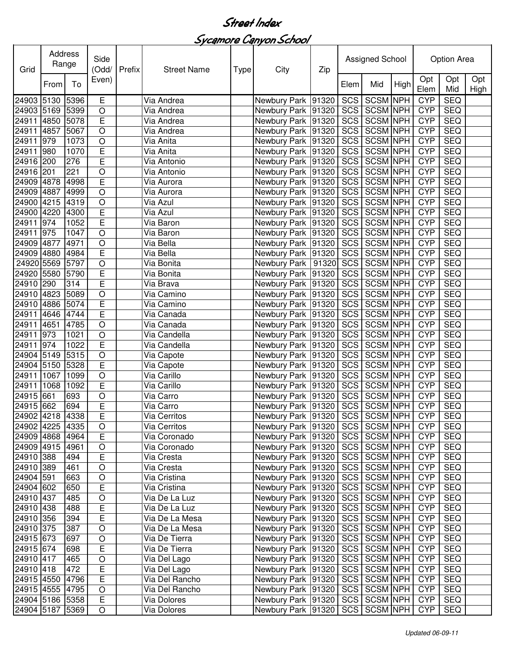Sycamore Canyon School

| Grid            | Address<br>Range |      | Side<br>(Odd/  | Prefix | <b>Street Name</b> | Type | City                                  | Zip | Assigned School |                 |      | Option Area |            |                    |
|-----------------|------------------|------|----------------|--------|--------------------|------|---------------------------------------|-----|-----------------|-----------------|------|-------------|------------|--------------------|
|                 | From             | To   | Even)          |        |                    |      |                                       |     | Elem            | Mid             | High | Opt<br>Elem | Opt<br>Mid | Opt<br><b>High</b> |
| 24903 5130      |                  | 5396 | $\mathsf E$    |        | Via Andrea         |      | Newbury Park 91320                    |     | SCS             | SCSM NPH        |      | <b>CYP</b>  | <b>SEQ</b> |                    |
| 24903 5169      |                  | 5399 | $\circ$        |        | Via Andrea         |      | Newbury Park 91320                    |     | <b>SCS</b>      | <b>SCSM NPH</b> |      | <b>CYP</b>  | <b>SEQ</b> |                    |
| 24911           | 4850             | 5078 | E              |        | Via Andrea         |      | Newbury Park 91320                    |     | SCS             | <b>SCSM NPH</b> |      | <b>CYP</b>  | <b>SEQ</b> |                    |
| 24911           | 4857             | 5067 | $\circ$        |        | Via Andrea         |      | Newbury Park 91320                    |     | SCS             | <b>SCSM NPH</b> |      | <b>CYP</b>  | <b>SEQ</b> |                    |
| 24911           | 979              | 1073 | $\circ$        |        | Via Anita          |      | Newbury Park 91320                    |     | SCS             | <b>SCSM NPH</b> |      | <b>CYP</b>  | <b>SEQ</b> |                    |
| 24911           | 980              | 1070 | E              |        | Via Anita          |      | Newbury Park 91320                    |     | SCS             | <b>SCSM NPH</b> |      | <b>CYP</b>  | <b>SEQ</b> |                    |
| 24916           | 200              | 276  | E              |        | Via Antonio        |      | Newbury Park 91320                    |     | <b>SCS</b>      | <b>SCSM NPH</b> |      | <b>CYP</b>  | <b>SEQ</b> |                    |
| 24916           | 201              | 221  | $\overline{O}$ |        | Via Antonio        |      | Newbury Park 91320                    |     | SCS             | <b>SCSM NPH</b> |      | <b>CYP</b>  | <b>SEQ</b> |                    |
| 24909           | 4878             | 4998 | E              |        | Via Aurora         |      | Newbury Park 91320                    |     | <b>SCS</b>      | <b>SCSM NPH</b> |      | <b>CYP</b>  | <b>SEQ</b> |                    |
| 24909           | 4887             | 4999 | $\circ$        |        | Via Aurora         |      | Newbury Park 91320                    |     | <b>SCS</b>      | <b>SCSM NPH</b> |      | <b>CYP</b>  | <b>SEQ</b> |                    |
| 24900           | 4215             | 4319 | $\circ$        |        | Via Azul           |      | Newbury Park 91320                    |     | SCS             | SCSM NPH        |      | <b>CYP</b>  | <b>SEQ</b> |                    |
| 24900           | 4220             | 4300 | E              |        | Via Azul           |      | Newbury Park 91320                    |     | SCS             | SCSM NPH        |      | <b>CYP</b>  | <b>SEQ</b> |                    |
| 24911           | 974              | 1052 | E              |        | Via Baron          |      | Newbury Park 91320                    |     | SCS             | <b>SCSM NPH</b> |      | <b>CYP</b>  | <b>SEQ</b> |                    |
| 24911           | 975              | 1047 | $\circ$        |        | Via Baron          |      | Newbury Park 91320                    |     | SCS             | <b>SCSM</b> NPH |      | <b>CYP</b>  | <b>SEQ</b> |                    |
| 24909 4877      |                  | 4971 | $\circ$        |        | Via Bella          |      | Newbury Park 91320                    |     | <b>SCS</b>      | <b>SCSM NPH</b> |      | <b>CYP</b>  | <b>SEQ</b> |                    |
| 24909 4880      |                  | 4984 | E              |        | Via Bella          |      | Newbury Park 91320                    |     | <b>SCS</b>      | <b>SCSM NPH</b> |      | <b>CYP</b>  | <b>SEQ</b> |                    |
| 24920 5569      |                  | 5797 | $\circ$        |        | Via Bonita         |      | Newbury Park   91320                  |     | <b>SCS</b>      | <b>SCSM NPH</b> |      | <b>CYP</b>  | <b>SEQ</b> |                    |
| 24920 5580      |                  | 5790 | E              |        | Via Bonita         |      | Newbury Park 91320                    |     | <b>SCS</b>      | <b>SCSM NPH</b> |      | <b>CYP</b>  | <b>SEQ</b> |                    |
| 24910 290       |                  | 314  | E              |        | Via Brava          |      | Newbury Park 91320                    |     | <b>SCS</b>      | <b>SCSM NPH</b> |      | <b>CYP</b>  | <b>SEQ</b> |                    |
| 24910           | 4823             | 5089 | $\overline{O}$ |        | Via Camino         |      | Newbury Park 91320                    |     | SCS             | <b>SCSM NPH</b> |      | <b>CYP</b>  | <b>SEQ</b> |                    |
| 24910           | 4886             | 5074 | E              |        | Via Camino         |      | Newbury Park 91320                    |     | SCS             | <b>SCSM NPH</b> |      | <b>CYP</b>  | <b>SEQ</b> |                    |
| 24911           | 4646             | 4744 | E              |        | Via Canada         |      | Newbury Park 91320                    |     | SCS             | <b>SCSM NPH</b> |      | <b>CYP</b>  | <b>SEQ</b> |                    |
| 24911           | 4651             | 4785 | $\circ$        |        | Via Canada         |      | Newbury Park 91320                    |     | SCS             | <b>SCSM NPH</b> |      | <b>CYP</b>  | <b>SEQ</b> |                    |
| 24911           | 973              | 1021 | $\circ$        |        | Via Candella       |      | Newbury Park 91320                    |     | <b>SCS</b>      | <b>SCSM NPH</b> |      | <b>CYP</b>  | <b>SEQ</b> |                    |
| 24911           | 974              | 1022 | E              |        | Via Candella       |      | Newbury Park 91320                    |     | <b>SCS</b>      | <b>SCSM NPH</b> |      | <b>CYP</b>  | <b>SEQ</b> |                    |
| 24904           | 5149             | 5315 | $\circ$        |        | Via Capote         |      | Newbury Park 91320                    |     | <b>SCS</b>      | <b>SCSM NPH</b> |      | <b>CYP</b>  | <b>SEQ</b> |                    |
| 24904           | 5150             | 5328 | E              |        | Via Capote         |      | Newbury Park 91320                    |     | SCS             | <b>SCSM NPH</b> |      | <b>CYP</b>  | <b>SEQ</b> |                    |
| 24911           | 1067             | 1099 | $\circ$        |        | Via Carillo        |      | Newbury Park 91320                    |     | SCS             | <b>SCSM NPH</b> |      | <b>CYP</b>  | <b>SEQ</b> |                    |
| 24911           | 1068             | 1092 | $\mathsf E$    |        | Via Carillo        |      | Newbury Park 91320                    |     | SCS             | <b>SCSM NPH</b> |      | <b>CYP</b>  | <b>SEQ</b> |                    |
| 24915           | 661              | 693  | $\circ$        |        | Via Carro          |      | Newbury Park 91320                    |     | <b>SCS</b>      | <b>SCSM NPH</b> |      | <b>CYP</b>  | <b>SEQ</b> |                    |
| 24915 662       |                  | 694  | E              |        | Via Carro          |      | Newbury Park 91320                    |     | SCS             | <b>SCSM NPH</b> |      | <b>CYP</b>  | <b>SEQ</b> |                    |
| 24902 4218 4338 |                  |      | $\overline{E}$ |        | Via Cerritos       |      | Newbury Park 91320 SCS SCSM NPH       |     |                 |                 |      | <b>CYP</b>  | <b>SEQ</b> |                    |
| 24902 4225 4335 |                  |      | $\circ$        |        | Via Cerritos       |      | Newbury Park   91320   SCS   SCSM NPH |     |                 |                 |      | <b>CYP</b>  | <b>SEQ</b> |                    |
| 24909 4868 4964 |                  |      | E              |        | Via Coronado       |      | Newbury Park 91320                    |     |                 | SCS SCSM NPH    |      | <b>CYP</b>  | <b>SEQ</b> |                    |
| 24909 4915 4961 |                  |      | $\mathsf O$    |        | Via Coronado       |      | Newbury Park 91320                    |     |                 | SCS SCSM NPH    |      | <b>CYP</b>  | <b>SEQ</b> |                    |
| 24910 388       |                  | 494  | E              |        | Via Cresta         |      | Newbury Park 91320                    |     |                 | SCS SCSM NPH    |      | <b>CYP</b>  | <b>SEQ</b> |                    |
| 24910 389       |                  | 461  | $\bigcirc$     |        | Via Cresta         |      | Newbury Park 91320                    |     |                 | SCS SCSM NPH    |      | <b>CYP</b>  | <b>SEQ</b> |                    |
| 24904 591       |                  | 663  | $\circ$        |        | Via Cristina       |      | Newbury Park 91320                    |     |                 | SCS SCSM NPH    |      | <b>CYP</b>  | <b>SEQ</b> |                    |
| 24904 602       |                  | 650  | $\overline{E}$ |        | Via Cristina       |      | Newbury Park   91320                  |     |                 | SCS SCSM NPH    |      | <b>CYP</b>  | <b>SEQ</b> |                    |
| 24910 437       |                  | 485  | $\circ$        |        | Via De La Luz      |      | Newbury Park 91320                    |     |                 | SCS SCSM NPH    |      | <b>CYP</b>  | <b>SEQ</b> |                    |
| 24910 438       |                  | 488  | E              |        | Via De La Luz      |      | Newbury Park 91320                    |     |                 | SCS SCSM NPH    |      | <b>CYP</b>  | <b>SEQ</b> |                    |
| 24910 356       |                  | 394  | $\overline{E}$ |        | Via De La Mesa     |      | Newbury Park   91320                  |     |                 | SCS SCSM NPH    |      | <b>CYP</b>  | <b>SEQ</b> |                    |
| 24910 375       |                  | 387  | $\circ$        |        | Via De La Mesa     |      | Newbury Park 91320                    |     |                 | SCS SCSM NPH    |      | <b>CYP</b>  | <b>SEQ</b> |                    |
| 24915 673       |                  | 697  | $\bigcirc$     |        | Via De Tierra      |      | Newbury Park 91320                    |     |                 | SCS SCSM NPH    |      | <b>CYP</b>  | <b>SEQ</b> |                    |
| 24915 674       |                  | 698  | $\mathsf E$    |        | Via De Tierra      |      | Newbury Park 91320                    |     |                 | SCS SCSM NPH    |      | <b>CYP</b>  | <b>SEQ</b> |                    |
| 24910 417       |                  | 465  | $\bigcirc$     |        | Via Del Lago       |      | Newbury Park 91320                    |     |                 | SCS SCSM NPH    |      | <b>CYP</b>  | <b>SEQ</b> |                    |
| 24910 418       |                  | 472  | $\overline{E}$ |        | Via Del Lago       |      | Newbury Park 91320                    |     |                 | SCS SCSM NPH    |      | <b>CYP</b>  | <b>SEQ</b> |                    |
| 24915 4550      |                  | 4796 | $\overline{E}$ |        | Via Del Rancho     |      | Newbury Park 91320                    |     |                 | SCS SCSM NPH    |      | <b>CYP</b>  | <b>SEQ</b> |                    |
| 24915 4555 4795 |                  |      | $\circ$        |        | Via Del Rancho     |      | Newbury Park 91320                    |     |                 | SCS SCSM NPH    |      | <b>CYP</b>  | <b>SEQ</b> |                    |
| 24904 5186 5358 |                  |      | $\mathsf E$    |        | Via Dolores        |      | Newbury Park 91320                    |     |                 | SCS SCSM NPH    |      | <b>CYP</b>  | <b>SEQ</b> |                    |
| 24904 5187 5369 |                  |      | O              |        | Via Dolores        |      | Newbury Park   91320                  |     |                 | SCS SCSM NPH    |      | <b>CYP</b>  | <b>SEQ</b> |                    |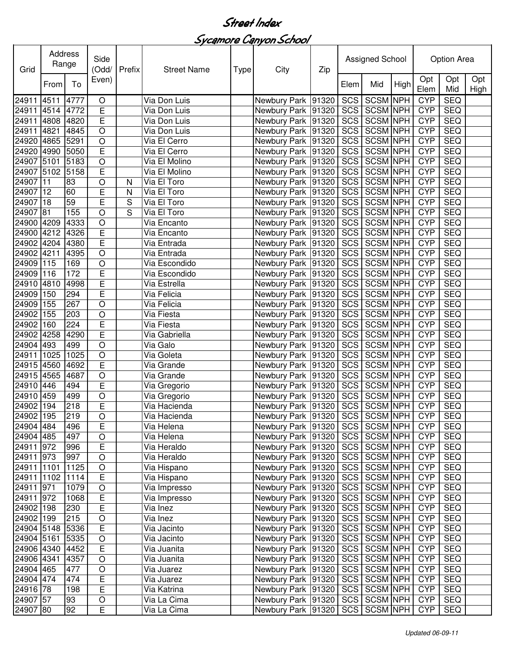Sycamore Canyon School

| Grid            |      | Address<br>Side<br>Range<br>(Odd/ |             | Prefix | <b>Street Name</b><br><b>Type</b> |  | City                                  | Zip | Assigned School |                 |      | Option Area |            |             |
|-----------------|------|-----------------------------------|-------------|--------|-----------------------------------|--|---------------------------------------|-----|-----------------|-----------------|------|-------------|------------|-------------|
|                 | From | To                                | Even)       |        |                                   |  |                                       |     | Elem            | Mid             | High | Opt<br>Elem | Opt<br>Mid | Opt<br>High |
| 24911           | 4511 | 4777                              | $\circ$     |        | Via Don Luis                      |  | Newbury Park 91320                    |     | SCS             | <b>SCSM NPH</b> |      | <b>CYP</b>  | <b>SEQ</b> |             |
| 24911           | 4514 | 4772                              | E           |        | Via Don Luis                      |  | Newbury Park 91320                    |     | <b>SCS</b>      | <b>SCSM NPH</b> |      | <b>CYP</b>  | <b>SEQ</b> |             |
| 24911           | 4808 | 4820                              | E           |        | Via Don Luis                      |  | Newbury Park 91320                    |     | <b>SCS</b>      | <b>SCSM NPH</b> |      | <b>CYP</b>  | <b>SEQ</b> |             |
| 24911           | 4821 | 4845                              | $\circ$     |        | Via Don Luis                      |  | Newbury Park 91320                    |     | SCS             | <b>SCSM NPH</b> |      | <b>CYP</b>  | <b>SEQ</b> |             |
| 24920           | 4865 | 5291                              | $\circ$     |        | Via El Cerro                      |  | Newbury Park 91320                    |     | SCS             | <b>SCSM NPH</b> |      | <b>CYP</b>  | <b>SEQ</b> |             |
| 24920           | 4990 | 5050                              | E           |        | Via El Cerro                      |  | Newbury Park 91320                    |     | SCS             | <b>SCSM NPH</b> |      | <b>CYP</b>  | <b>SEQ</b> |             |
| 24907           | 5101 | 5183                              | $\circ$     |        | Via El Molino                     |  | Newbury Park 91320                    |     | SCS             | <b>SCSM NPH</b> |      | <b>CYP</b>  | <b>SEQ</b> |             |
| 24907           | 5102 | 5158                              | E           |        | Via El Molino                     |  | Newbury Park 91320                    |     | SCS             | <b>SCSM NPH</b> |      | <b>CYP</b>  | <b>SEQ</b> |             |
| 24907           | 11   | 83                                | $\circ$     | N      | Via El Toro                       |  | Newbury Park 91320                    |     | <b>SCS</b>      | <b>SCSM NPH</b> |      | <b>CYP</b>  | <b>SEQ</b> |             |
| 24907           | 12   | 60                                | E           | N      | Via El Toro                       |  | Newbury Park 91320                    |     | SCS             | <b>SCSM NPH</b> |      | <b>CYP</b>  | <b>SEQ</b> |             |
| 24907           | 18   | 59                                | E           | S      | Via El Toro                       |  | Newbury Park 91320                    |     | <b>SCS</b>      | <b>SCSM NPH</b> |      | <b>CYP</b>  | <b>SEQ</b> |             |
| 24907           | 81   | 155                               | $\circ$     | S      | Via El Toro                       |  | Newbury Park 91320                    |     | SCS             | <b>SCSM NPH</b> |      | <b>CYP</b>  | <b>SEQ</b> |             |
| 24900 4209      |      | 4333                              | $\circ$     |        | Via Encanto                       |  | Newbury Park 91320                    |     | SCS             | <b>SCSM NPH</b> |      | <b>CYP</b>  | <b>SEQ</b> |             |
| 24900           | 4212 | 4326                              | E           |        | Via Encanto                       |  | Newbury Park 91320                    |     | <b>SCS</b>      | <b>SCSM NPH</b> |      | <b>CYP</b>  | <b>SEQ</b> |             |
| 24902           | 4204 | 4380                              | E           |        | Via Entrada                       |  | Newbury Park 91320                    |     | <b>SCS</b>      | <b>SCSM NPH</b> |      | <b>CYP</b>  | <b>SEQ</b> |             |
| 24902 4211      |      | 4395                              | $\circ$     |        | Via Entrada                       |  | Newbury Park 91320                    |     | SCS             | <b>SCSM NPH</b> |      | <b>CYP</b>  | <b>SEQ</b> |             |
| 24909           | 115  | 169                               | $\circ$     |        | Via Escondido                     |  | Newbury Park 91320                    |     | SCS             | <b>SCSM NPH</b> |      | <b>CYP</b>  | <b>SEQ</b> |             |
| 24909           | 116  | 172                               | E           |        | Via Escondido                     |  | Newbury Park 91320                    |     | <b>SCS</b>      | <b>SCSM NPH</b> |      | <b>CYP</b>  | <b>SEQ</b> |             |
| 24910           | 4810 | 4998                              | E           |        | Via Estrella                      |  | Newbury Park 91320                    |     | <b>SCS</b>      | <b>SCSM NPH</b> |      | <b>CYP</b>  | <b>SEQ</b> |             |
| 24909           | 150  | 294                               | E           |        | Via Felicia                       |  | Newbury Park 91320                    |     | <b>SCS</b>      | <b>SCSM NPH</b> |      | <b>CYP</b>  | <b>SEQ</b> |             |
| 24909           | 155  | 267                               | $\circ$     |        | Via Felicia                       |  | Newbury Park 91320                    |     | SCS             | <b>SCSM NPH</b> |      | <b>CYP</b>  | <b>SEQ</b> |             |
| 24902           | 155  | 203                               | $\circ$     |        | Via Fiesta                        |  | Newbury Park 91320                    |     | SCS             | <b>SCSM NPH</b> |      | <b>CYP</b>  | <b>SEQ</b> |             |
| 24902           | 160  | 224                               | E           |        | Via Fiesta                        |  | Newbury Park 91320                    |     | SCS             | <b>SCSM NPH</b> |      | <b>CYP</b>  | <b>SEQ</b> |             |
| 24902           | 4258 | 4290                              | E           |        | Via Gabriella                     |  | Newbury Park 91320                    |     | SCS             | <b>SCSM NPH</b> |      | <b>CYP</b>  | <b>SEQ</b> |             |
| 24904           | 493  | 499                               | O           |        | Via Galo                          |  | Newbury Park 91320                    |     | SCS             | <b>SCSM</b> NPH |      | <b>CYP</b>  | <b>SEQ</b> |             |
| 24911           | 1025 | 1025                              | $\circ$     |        | Via Goleta                        |  | Newbury Park 91320                    |     | SCS             | <b>SCSM NPH</b> |      | <b>CYP</b>  | <b>SEQ</b> |             |
| 24915           | 4560 | 4692                              | E           |        | Via Grande                        |  | Newbury Park   91320                  |     | SCS             | <b>SCSM NPH</b> |      | <b>CYP</b>  | <b>SEQ</b> |             |
| 24915           | 4565 | 4687                              | $\circ$     |        | Via Grande                        |  | Newbury Park 91320                    |     | SCS             | <b>SCSM NPH</b> |      | <b>CYP</b>  | <b>SEQ</b> |             |
| 24910           | 446  | 494                               | E           |        | Via Gregorio                      |  | Newbury Park 91320                    |     | SCS             | <b>SCSM NPH</b> |      | <b>CYP</b>  | <b>SEQ</b> |             |
| 24910           | 459  | 499                               | $\circ$     |        | Via Gregorio                      |  | Newbury Park 91320                    |     | SCS             | <b>SCSM NPH</b> |      | <b>CYP</b>  | <b>SEQ</b> |             |
| 24902           | 194  | 218                               | E           |        | Via Hacienda                      |  | Newbury Park 91320                    |     | <b>SCS</b>      | SCSM NPH        |      | <b>CYP</b>  | <b>SEQ</b> |             |
| 24902 195       |      | 219                               | $\mathsf O$ |        | Via Hacienda                      |  | Newbury Park 91320 SCS SCSM NPH       |     |                 |                 |      | <b>CYP</b>  | <b>SEQ</b> |             |
| 24904 484       |      | 496                               | E           |        | Via Helena                        |  | Newbury Park   91320   SCS   SCSM NPH |     |                 |                 |      | <b>CYP</b>  | <b>SEQ</b> |             |
| 24904 485       |      | 497                               | O           |        | Via Helena                        |  | Newbury Park 91320                    |     |                 | SCS SCSM NPH    |      | <b>CYP</b>  | <b>SEQ</b> |             |
| 24911 972       |      | 996                               | E           |        | Via Heraldo                       |  | Newbury Park 91320                    |     |                 | SCS SCSM NPH    |      | <b>CYP</b>  | <b>SEQ</b> |             |
| 24911 973       |      | 997                               | $\circ$     |        | Via Heraldo                       |  | Newbury Park 91320                    |     |                 | SCS SCSM NPH    |      | <b>CYP</b>  | <b>SEQ</b> |             |
| 24911 1101      |      | 1125                              | $\mathsf O$ |        | Via Hispano                       |  | Newbury Park 91320                    |     |                 | SCS SCSM NPH    |      | <b>CYP</b>  | <b>SEQ</b> |             |
| 24911 1102      |      | 1114                              | E           |        | Via Hispano                       |  | Newbury Park 91320                    |     |                 | SCS SCSM NPH    |      | <b>CYP</b>  | <b>SEQ</b> |             |
| 24911 971       |      | 1079                              | $\mathsf O$ |        | Via Impresso                      |  | Newbury Park 91320                    |     |                 | SCS SCSM NPH    |      | <b>CYP</b>  | <b>SEQ</b> |             |
| 24911 972       |      | 1068                              | E           |        | Via Impresso                      |  | Newbury Park 91320                    |     |                 | SCS SCSM NPH    |      | <b>CYP</b>  | <b>SEQ</b> |             |
| 24902 198       |      | 230                               | E           |        | Via Inez                          |  | Newbury Park 91320                    |     |                 | SCS SCSM NPH    |      | <b>CYP</b>  | SEQ        |             |
| 24902 199       |      | 215                               | $\bigcirc$  |        | Via Inez                          |  | Newbury Park 91320                    |     |                 | SCS SCSM NPH    |      | <b>CYP</b>  | <b>SEQ</b> |             |
| 24904 5148      |      | 5336                              | E           |        | Via Jacinto                       |  | Newbury Park 91320                    |     |                 | SCS SCSM NPH    |      | <b>CYP</b>  | SEQ        |             |
| 24904 5161      |      | 5335                              | $\mathsf O$ |        | Via Jacinto                       |  | Newbury Park 91320                    |     |                 | SCS SCSM NPH    |      | <b>CYP</b>  | <b>SEQ</b> |             |
| 24906 4340 4452 |      |                                   | E           |        | Via Juanita                       |  | Newbury Park 91320                    |     |                 | SCS SCSM NPH    |      | <b>CYP</b>  | <b>SEQ</b> |             |
| 24906 4341      |      | 4357                              | $\mathsf O$ |        | Via Juanita                       |  | Newbury Park 91320                    |     |                 | SCS SCSM NPH    |      | <b>CYP</b>  | <b>SEQ</b> |             |
| 24904 465       |      | 477                               | $\mathsf O$ |        | Via Juarez                        |  | Newbury Park 91320                    |     |                 | SCS SCSM NPH    |      | <b>CYP</b>  | <b>SEQ</b> |             |
| 24904 474       |      | 474                               | E           |        | Via Juarez                        |  | Newbury Park 91320                    |     |                 | SCS SCSM NPH    |      | <b>CYP</b>  | <b>SEQ</b> |             |
| 24916 78        |      | 198                               | E           |        | Via Katrina                       |  | Newbury Park 91320                    |     |                 | SCS SCSM NPH    |      | <b>CYP</b>  | <b>SEQ</b> |             |
| 24907 57        |      | 93                                | $\bigcirc$  |        | Via La Cima                       |  | Newbury Park 91320                    |     |                 | SCS SCSM NPH    |      | <b>CYP</b>  | <b>SEQ</b> |             |
| 24907 80        |      | 92                                | E           |        | Via La Cima                       |  | Newbury Park 91320                    |     | SCS             | <b>SCSM NPH</b> |      | <b>CYP</b>  | <b>SEQ</b> |             |
|                 |      |                                   |             |        |                                   |  |                                       |     |                 |                 |      |             |            |             |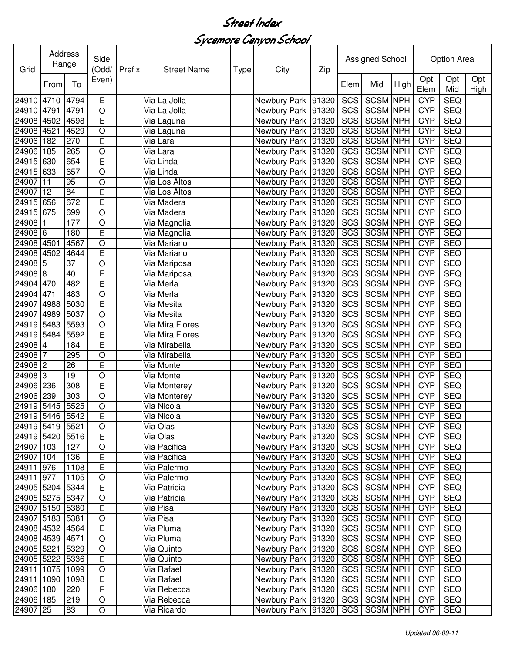Sycamore Canyon School

| Grid            | Address<br>Range |      | Side<br>(Odd/  | Prefix | <b>Street Name</b> | <b>Type</b> | City                                  | Zip   | <b>Assigned School</b> |                 |      | Option Area |            |                    |
|-----------------|------------------|------|----------------|--------|--------------------|-------------|---------------------------------------|-------|------------------------|-----------------|------|-------------|------------|--------------------|
|                 | From             | To   | Even)          |        |                    |             |                                       |       | Elem                   | Mid             | High | Opt<br>Elem | Opt<br>Mid | Opt<br><b>High</b> |
| 24910 4710 4794 |                  |      | E              |        | Via La Jolla       |             | Newbury Park 91320                    |       | SCS                    | SCSM NPH        |      | <b>CYP</b>  | <b>SEQ</b> |                    |
| 24910 4791      |                  | 4791 | $\circ$        |        | Via La Jolla       |             | Newbury Park 91320                    |       | SCS                    | <b>SCSM NPH</b> |      | <b>CYP</b>  | <b>SEQ</b> |                    |
| 24908           | 4502             | 4598 | E              |        | Via Laguna         |             | Newbury Park 91320                    |       | SCS                    | <b>SCSM NPH</b> |      | <b>CYP</b>  | <b>SEQ</b> |                    |
| 24908           | 4521             | 4529 | $\circ$        |        | Via Laguna         |             | Newbury Park 91320                    |       | SCS                    | <b>SCSM NPH</b> |      | <b>CYP</b>  | <b>SEQ</b> |                    |
| 24906           | 182              | 270  | E              |        | Via Lara           |             | Newbury Park 91320                    |       | SCS                    | <b>SCSM NPH</b> |      | <b>CYP</b>  | <b>SEQ</b> |                    |
| 24906           | 185              | 265  | $\circ$        |        | Via Lara           |             | Newbury Park 91320                    |       | SCS                    | <b>SCSM NPH</b> |      | <b>CYP</b>  | <b>SEQ</b> |                    |
| 24915           | 630              | 654  | E              |        | Via Linda          |             | Newbury Park 91320                    |       | SCS                    | <b>SCSM NPH</b> |      | <b>CYP</b>  | <b>SEQ</b> |                    |
| 24915           | 633              | 657  | $\circ$        |        | Via Linda          |             | Newbury Park 91320                    |       | SCS                    | <b>SCSM NPH</b> |      | <b>CYP</b>  | <b>SEQ</b> |                    |
| 24907           | 11               | 95   | $\circ$        |        | Via Los Altos      |             | Newbury Park 91320                    |       | <b>SCS</b>             | <b>SCSM NPH</b> |      | <b>CYP</b>  | <b>SEQ</b> |                    |
| 24907           | 12               | 84   | E              |        | Via Los Altos      |             | Newbury Park 91320                    |       | SCS                    | <b>SCSM NPH</b> |      | <b>CYP</b>  | <b>SEQ</b> |                    |
| 24915           | 656              | 672  | E              |        | Via Madera         |             | Newbury Park 91320                    |       | SCS                    | <b>SCSM NPH</b> |      | <b>CYP</b>  | <b>SEQ</b> |                    |
| 24915           | 675              | 699  | $\circ$        |        | Via Madera         |             | Newbury Park 91320                    |       | SCS                    | <b>SCSM NPH</b> |      | <b>CYP</b>  | <b>SEQ</b> |                    |
| 24908           |                  | 177  | $\circ$        |        | Via Magnolia       |             | Newbury Park 91320                    |       | SCS                    | SCSM NPH        |      | <b>CYP</b>  | <b>SEQ</b> |                    |
| 24908 6         |                  | 180  | E              |        | Via Magnolia       |             | Newbury Park 91320                    |       | SCS                    | <b>SCSM NPH</b> |      | <b>CYP</b>  | <b>SEQ</b> |                    |
| 24908 4501      |                  | 4567 | $\circ$        |        | Via Mariano        |             | Newbury Park 91320                    |       | SCS                    | <b>SCSM NPH</b> |      | <b>CYP</b>  | SEQ        |                    |
| 24908 4502      |                  | 4644 | E              |        | Via Mariano        |             | Newbury Park 91320                    |       | <b>SCS</b>             | <b>SCSM NPH</b> |      | <b>CYP</b>  | <b>SEQ</b> |                    |
| 24908 5         |                  | 37   | $\circ$        |        | Via Mariposa       |             | Newbury Park 91320                    |       | SCS                    | <b>SCSM NPH</b> |      | <b>CYP</b>  | <b>SEQ</b> |                    |
| 24908 8         |                  | 40   | E              |        | Via Mariposa       |             | Newbury Park 91320                    |       | SCS                    | <b>SCSM NPH</b> |      | <b>CYP</b>  | <b>SEQ</b> |                    |
| 24904           | 470              | 482  | E              |        | Via Merla          |             | Newbury Park 91320                    |       | SCS                    | <b>SCSM NPH</b> |      | <b>CYP</b>  | <b>SEQ</b> |                    |
| 24904           | 471              | 483  | $\circ$        |        | Via Merla          |             | Newbury Park 91320                    |       | SCS                    | <b>SCSM NPH</b> |      | <b>CYP</b>  | <b>SEQ</b> |                    |
| 24907           | 4988             | 5030 | $\overline{E}$ |        | Via Mesita         |             | Newbury Park 91320                    |       | SCS                    | <b>SCSM NPH</b> |      | <b>CYP</b>  | <b>SEQ</b> |                    |
| 24907           | 4989             | 5037 | $\circ$        |        | Via Mesita         |             | Newbury Park 91320                    |       | SCS                    | <b>SCSM NPH</b> |      | <b>CYP</b>  | <b>SEQ</b> |                    |
| 24919           | 5483             | 5593 | $\circ$        |        | Via Mira Flores    |             | Newbury Park 91320                    |       | SCS                    | <b>SCSM NPH</b> |      | <b>CYP</b>  | <b>SEQ</b> |                    |
| 24919           | 5484             | 5592 | E              |        | Via Mira Flores    |             | Newbury Park 91320                    |       | SCS                    | <b>SCSM NPH</b> |      | <b>CYP</b>  | <b>SEQ</b> |                    |
| 24908 4         |                  | 184  | E              |        | Via Mirabella      |             | Newbury Park 91320                    |       | SCS                    | <b>SCSM NPH</b> |      | <b>CYP</b>  | <b>SEQ</b> |                    |
| 24908           | 7                | 295  | $\circ$        |        | Via Mirabella      |             | Newbury Park 91320                    |       | SCS                    | <b>SCSM NPH</b> |      | <b>CYP</b>  | <b>SEQ</b> |                    |
| 24908 2         |                  | 26   | E              |        | Via Monte          |             | Newbury Park                          | 91320 | SCS                    | <b>SCSM NPH</b> |      | <b>CYP</b>  | <b>SEQ</b> |                    |
| 24908           | Iз               | 19   | $\circ$        |        | Via Monte          |             | Newbury Park 91320                    |       | SCS                    | <b>SCSM NPH</b> |      | <b>CYP</b>  | <b>SEQ</b> |                    |
| 24906 236       |                  | 308  | E              |        | Via Monterey       |             | Newbury Park 91320                    |       | SCS                    | <b>SCSM NPH</b> |      | <b>CYP</b>  | <b>SEQ</b> |                    |
| 24906           | 239              | 303  | $\circ$        |        | Via Monterey       |             | Newbury Park 91320                    |       | SCS                    | <b>SCSM NPH</b> |      | <b>CYP</b>  | <b>SEQ</b> |                    |
| 24919 5445 5525 |                  |      | $\circ$        |        | Via Nicola         |             | Newbury Park 91320                    |       | SCS                    | SCSM NPH        |      | <b>CYP</b>  | <b>SEQ</b> |                    |
| 24919 5446 5542 |                  |      | $\overline{E}$ |        | Via Nicola         |             | Newbury Park 91320                    |       |                        | SCS SCSM NPH    |      | CYP         | <b>SEQ</b> |                    |
| 24919 5419 5521 |                  |      | $\circ$        |        | Via Olas           |             | Newbury Park  91320   SCS   SCSM NPH  |       |                        |                 |      | <b>CYP</b>  | <b>SEQ</b> |                    |
| 24919 5420 5516 |                  |      | $\mathsf E$    |        | Via Olas           |             | Newbury Park   91320   SCS   SCSM NPH |       |                        |                 |      | <b>CYP</b>  | <b>SEQ</b> |                    |
| 24907 103       |                  | 127  | $\bigcirc$     |        | Via Pacifica       |             | Newbury Park   91320                  |       |                        | SCS SCSM NPH    |      | <b>CYP</b>  | <b>SEQ</b> |                    |
| 24907 104       |                  | 136  | E              |        | Via Pacifica       |             | Newbury Park 91320                    |       |                        | SCS SCSM NPH    |      | <b>CYP</b>  | <b>SEQ</b> |                    |
| 24911 976       |                  | 1108 | $\overline{E}$ |        | Via Palermo        |             | Newbury Park 91320                    |       |                        | SCS SCSM NPH    |      | <b>CYP</b>  | <b>SEQ</b> |                    |
| 24911 977       |                  | 1105 | $\bigcirc$     |        | Via Palermo        |             | Newbury Park 91320                    |       |                        | SCS SCSM NPH    |      | <b>CYP</b>  | <b>SEQ</b> |                    |
| 24905 5204 5344 |                  |      | $\overline{E}$ |        | Via Patricia       |             | Newbury Park   91320                  |       |                        | SCS SCSM NPH    |      | <b>CYP</b>  | <b>SEQ</b> |                    |
| 24905 5275 5347 |                  |      | $\bigcirc$     |        | Via Patricia       |             | Newbury Park 91320                    |       |                        | SCS SCSM NPH    |      | <b>CYP</b>  | <b>SEQ</b> |                    |
| 24907 5150 5380 |                  |      | $\overline{E}$ |        | Via Pisa           |             | Newbury Park 91320                    |       |                        | SCS SCSM NPH    |      | <b>CYP</b>  | <b>SEQ</b> |                    |
| 24907 5183 5381 |                  |      | $\circ$        |        | Via Pisa           |             | Newbury Park 91320                    |       |                        | SCS SCSM NPH    |      | <b>CYP</b>  | <b>SEQ</b> |                    |
| 24908 4532 4564 |                  |      | $\overline{E}$ |        | Via Pluma          |             | Newbury Park 91320                    |       |                        | SCS SCSM NPH    |      | <b>CYP</b>  | <b>SEQ</b> |                    |
| 24908 4539 4571 |                  |      | $\circ$        |        | Via Pluma          |             | Newbury Park 91320                    |       |                        | SCS SCSM NPH    |      | <b>CYP</b>  | <b>SEQ</b> |                    |
| 24905 5221      |                  | 5329 | $\bigcirc$     |        | Via Quinto         |             | Newbury Park 91320                    |       |                        | SCS SCSM NPH    |      | <b>CYP</b>  | <b>SEQ</b> |                    |
| 24905 5222 5336 |                  |      | $\overline{E}$ |        | Via Quinto         |             | Newbury Park 91320                    |       | SCS                    | <b>SCSM NPH</b> |      | <b>CYP</b>  | <b>SEQ</b> |                    |
| 24911 1075 1099 |                  |      | $\bigcirc$     |        | Via Rafael         |             | Newbury Park 91320                    |       | SCS                    | <b>SCSM NPH</b> |      | <b>CYP</b>  | <b>SEQ</b> |                    |
| 24911           | 1090             | 1098 | $\overline{E}$ |        | Via Rafael         |             | Newbury Park 91320                    |       | <b>SCS</b>             | <b>SCSM NPH</b> |      | <b>CYP</b>  | <b>SEQ</b> |                    |
| 24906 180       |                  | 220  | $\mathsf E$    |        | Via Rebecca        |             | Newbury Park 91320                    |       |                        | SCS SCSM NPH    |      | <b>CYP</b>  | <b>SEQ</b> |                    |
| 24906 185       |                  | 219  | $\mathsf O$    |        | Via Rebecca        |             | Newbury Park 91320                    |       |                        | SCS SCSM NPH    |      | <b>CYP</b>  | <b>SEQ</b> |                    |
| 24907 25        |                  | 83   | $\bigcirc$     |        | Via Ricardo        |             | Newbury Park 91320                    |       |                        | SCS SCSM NPH    |      | <b>CYP</b>  | <b>SEQ</b> |                    |